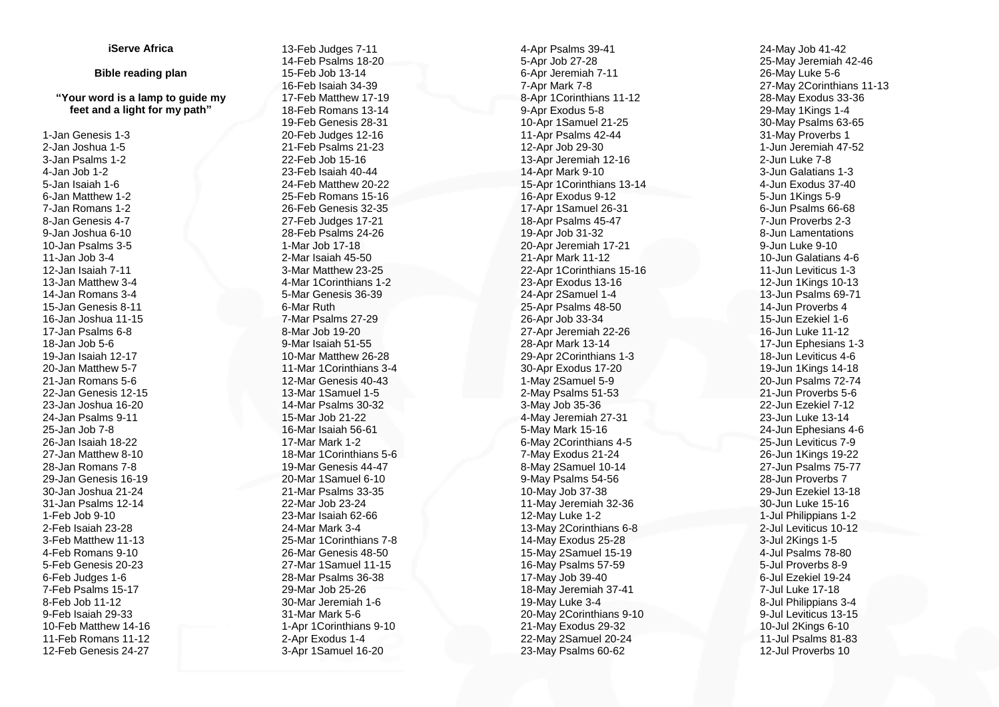## **iServe Africa**

## **Bible reading plan**

## **"Your word is a lamp to guide my feet and a light for my path "**

 -Jan Genesis 1 - 3 -Jan Joshua 1 - 5 -Jan Psalms 1 - 2 -Jan Job 1 - 2 -Jan Isaiah 1 - 6 -Jan Matthew 1 - 2 -Jan Romans 1 - 2 -Jan Genesis 4 - 7 -Jan Joshua 6 -10 -Jan Psalms 3 - 5 -Jan Job 3 - 4 -Jan Isaiah 7 -11 -Jan Matthew 3 - 4 -Jan Romans 3 - 4 -Jan Genesis 8 -11 -Jan Joshua 11 -15 -Jan Psalms 6 - 8 -Jan Job 5 - 6 -Jan Isaiah 12 -17 -Jan Matthew 5 - 7 -Jan Romans 5 - 6 -Jan Genesis 12 -15 -Jan Joshua 16 -20 -Jan Psalms 9 -11 -Jan Job 7 - 8 -Jan Isaiah 18 -22 -Jan Matthew 8 -10 -Jan Romans 7 - 8 -Jan Genesis 16 -19 -Jan Joshua 21 -24 -Jan Psalms 12 -14 -Feb Job 9 -10 -Feb Isaiah 23 -28 -Feb Matthew 11 -13 -Feb Romans 9 -10 -Feb Genesis 20 -23 -Feb Judges 1 - 6 -Feb Psalms 15 -17 -Feb Job 11 -12 -Feb Isaiah 29 -33 -Feb Matthew 14 -16 -Feb Romans 11 -12 -Feb Genesis 24 -27

 -Feb Judges 7 -11 -Feb Psalms 18 -20 -Feb Job 13 -14 -Feb Isaiah 34 -39 -Feb Matthew 17 -19 -Feb Romans 13 -14 -Feb Genesis 28 -31 -Feb Judges 12 -16 -Feb Psalms 21 -23 -Feb Job 15 -16 -Feb Isaiah 40 -44 -Feb Matthew 20 -22 -Feb Romans 15 -16 -Feb Genesis 32 -35 -Feb Judges 17 -21 -Feb Psalms 24 -26 -Mar Job 17 -18 -Mar Isaiah 45 -50 -Mar Matthew 23 -25 -Mar 1Corinthians 1 - 2 -Mar Genesis 36 -39 -Mar Ruth -Mar Psalms 27 -29 -Mar Job 19 -20 -Mar Isaiah 51 -55 -Mar Matthew 26 -28 -Mar 1Corinthians 3 - 4 -Mar Genesis 40 -43 -Mar 1Samuel 1 - 5 -Mar Psalms 30 -32 -Mar Job 21 -22 -Mar Isaiah 56 -61 -Mar Mark 1 - 2 -Mar 1Corinthians 5 - 6 -Mar Genesis 44 -47 -Mar 1Samuel 6 -10 -Mar Psalms 33 -35 -Mar Job 23 -24 -Mar Isaiah 62 -66 -Mar Mark 3 - 4 -Mar 1Corinthians 7 - 8 -Mar Genesis 48 -50 -Mar 1Samuel 11 -15 -Mar Psalms 36 -38 -Mar Job 25 -26 -Mar Jeremiah 1 - 6 -Mar Mark 5 - 6 -Apr 1Corinthians 9 -10 -Apr Exodus 1 - 4 -Apr 1Samuel 16 -20

 -Apr Psalms 39 -41 -Apr Job 27 -28 -Apr Jeremiah 7 -11 -Apr Mark 7 - 8 -Apr 1Corinthians 11 -12 -Apr Exodus 5 - 8 -Apr 1Samuel 21 -25 -Apr Psalms 42 -44 -Apr Job 29 -30 -Apr Jeremiah 12 -16 -Apr Mark 9 -10 -Apr 1Corinthians 13 -14 -Apr Exodus 9 -12 -Apr 1Samuel 26 -31 -Apr Psalms 45 -47 -Apr Job 31 -32 -Apr Jeremiah 17 -21 -Apr Mark 11 -12 -Apr 1Corinthians 15 -16 -Apr Exodus 13 -16 -Apr 2Samuel 1 - 4 -Apr Psalms 48 -50 -Apr Job 33 -34 -Apr Jeremiah 22 -26 -Apr Mark 13 -14 -Apr 2Corinthians 1 - 3 -Apr Exodus 17 -20 - May 2Samuel 5 - 9 -May Psalms 51 -53 -May Job 35 -36 -May Jeremiah 27 -31 -May Mark 15 -16 -May 2Corinthians 4 - 5 -May Exodus 21 -24 -May 2Samuel 10 -14 -May Psalms 54 -56 -May Job 37 -38 -May Jeremiah 32 -36 -May Luke 1 - 2 -May 2Corinthians 6 - 8 -May Exodus 25 -28 -May 2Samuel 15 -19 -May Psalms 57 -59 -May Job 39 -40 -May Jeremiah 37 -41 -May Luke 3 - 4 -May 2Corinthians 9 -10 -May Exodus 29 -32 -May 2Samuel 20 -24 -May Psalms 60 -62

 -May Job 41 -42 -May Jeremiah 42 -46 -May Luke 5 - 6 -May 2Corinthians 11 -13 -May Exodus 33 -36 -May 1Kings 1 - 4 -May Psalms 63 -65 -May Proverbs 1 -Jun Jeremiah 47 -52 -Jun Luke 7 - 8 -Jun Galatians 1 - 3 -Jun Exodus 37 -40 -Jun 1Kings 5 - 9 -Jun Psalms 66 -68 -Jun Proverbs 2 - 3 -Jun Lamentations -Jun Luke 9 -10 -Jun Galatians 4 - 6 -Jun Leviticus 1 - 3 -Jun 1Kings 10 -13 -Jun Psalms 69 -71 -Jun Proverbs 4 -Jun Ezekiel 1 - 6 -Jun Luke 11 -12 -Jun Ephesians 1 - 3 -Jun Leviticus 4 - 6 -Jun 1Kings 14 -18 -Jun Psalms 72 -74 -Jun Proverbs 5 - 6 -Jun Ezekiel 7 -12 -Jun Luke 13 -14 -Jun Ephesians 4 - 6 -Jun Leviticus 7 - 9 -Jun 1Kings 19 -22 -Jun Psalms 75 -77 -Jun Proverbs 7 -Jun Ezekiel 13 -18 -Jun Luke 15 -16 -Jul Philippians 1 - 2 -Jul Leviticus 10 -12 -Jul 2Kings 1 - 5 -Jul Psalms 78 -80 -Jul Proverbs 8 - 9 -Jul Ezekiel 19 -24 -Jul Luke 17 -18 -Jul Philippians 3 - 4 -Jul Leviticus 13 -15 -Jul 2Kings 6 -10 -Jul Psalms 81 -83 -Jul Proverbs 10